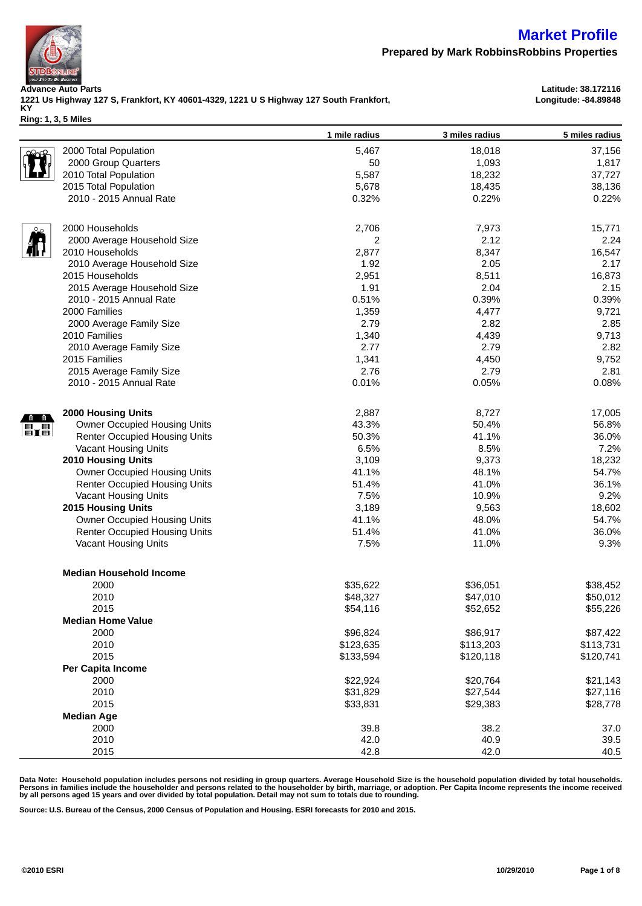

**Prepared by Mark RobbinsRobbins Properties**

**Advance Auto Parts Latitude: 38.172116 1221 Us Highway 127 S, Frankfort, KY 40601-4329, 1221 U S Highway 127 South Frankfort, KY**

**Longitude: -84.89848**

**Ring: 1, 3, 5 Miles**

|                           |                                      | 1 mile radius | 3 miles radius | 5 miles radius |
|---------------------------|--------------------------------------|---------------|----------------|----------------|
|                           | 2000 Total Population                | 5,467         | 18,018         | 37,156         |
|                           | 2000 Group Quarters                  | 50            | 1,093          | 1,817          |
|                           | 2010 Total Population                | 5,587         | 18,232         | 37,727         |
|                           | 2015 Total Population                | 5,678         | 18,435         | 38,136         |
|                           | 2010 - 2015 Annual Rate              | 0.32%         | 0.22%          | 0.22%          |
|                           |                                      |               |                |                |
|                           | 2000 Households                      | 2,706         | 7,973          | 15,771         |
|                           | 2000 Average Household Size          | 2             | 2.12           | 2.24           |
|                           | 2010 Households                      | 2,877         | 8,347          | 16,547         |
|                           | 2010 Average Household Size          | 1.92          | 2.05           | 2.17           |
|                           | 2015 Households                      | 2,951         | 8,511          | 16,873         |
|                           | 2015 Average Household Size          | 1.91          | 2.04           | 2.15           |
|                           | 2010 - 2015 Annual Rate              | 0.51%         | 0.39%          | 0.39%          |
|                           | 2000 Families                        | 1,359         | 4,477          | 9,721          |
|                           | 2000 Average Family Size             | 2.79          | 2.82           | 2.85           |
|                           | 2010 Families                        | 1,340         | 4,439          | 9,713          |
|                           | 2010 Average Family Size             | 2.77          | 2.79           | 2.82           |
|                           | 2015 Families                        | 1,341         | 4,450          | 9,752          |
|                           | 2015 Average Family Size             | 2.76          | 2.79           | 2.81           |
|                           | 2010 - 2015 Annual Rate              | 0.01%         | 0.05%          | 0.08%          |
|                           |                                      |               |                |                |
|                           | <b>2000 Housing Units</b>            | 2,887         | 8,727          | 17,005         |
| $\mathbf{E}_{\mathbf{I}}$ | Owner Occupied Housing Units         | 43.3%         | 50.4%          | 56.8%          |
|                           | <b>Renter Occupied Housing Units</b> | 50.3%         | 41.1%          | 36.0%          |
|                           | Vacant Housing Units                 | 6.5%          | 8.5%           | 7.2%           |
|                           | <b>2010 Housing Units</b>            | 3,109         | 9,373          | 18,232         |
|                           | Owner Occupied Housing Units         | 41.1%         | 48.1%          | 54.7%          |
|                           | <b>Renter Occupied Housing Units</b> | 51.4%         | 41.0%          | 36.1%          |
|                           | Vacant Housing Units                 | 7.5%          | 10.9%          | 9.2%           |
|                           | 2015 Housing Units                   | 3,189         | 9,563          | 18,602         |
|                           | Owner Occupied Housing Units         | 41.1%         | 48.0%          | 54.7%          |
|                           | <b>Renter Occupied Housing Units</b> | 51.4%         | 41.0%          | 36.0%          |
|                           | Vacant Housing Units                 | 7.5%          | 11.0%          | 9.3%           |
|                           |                                      |               |                |                |
|                           | <b>Median Household Income</b>       |               |                |                |
|                           | 2000                                 | \$35,622      | \$36,051       | \$38,452       |
|                           | 2010                                 | \$48,327      | \$47,010       | \$50,012       |
|                           | 2015                                 | \$54,116      | \$52,652       | \$55,226       |
|                           | <b>Median Home Value</b>             |               |                |                |
|                           | 2000                                 | \$96,824      | \$86,917       | \$87,422       |
|                           | 2010                                 | \$123,635     | \$113,203      | \$113,731      |
|                           | 2015                                 | \$133,594     | \$120,118      | \$120,741      |
|                           | Per Capita Income                    |               |                |                |
|                           | 2000                                 | \$22,924      | \$20,764       | \$21,143       |
|                           | 2010                                 | \$31,829      | \$27,544       | \$27,116       |
|                           | 2015                                 | \$33,831      | \$29,383       | \$28,778       |
|                           | <b>Median Age</b>                    |               |                |                |
|                           | 2000                                 | 39.8          | 38.2           | 37.0           |
|                           | 2010                                 | 42.0          | 40.9           | 39.5           |
|                           | 2015                                 | 42.8          | 42.0           | 40.5           |

Data Note: Household population includes persons not residing in group quarters. Average Household Size is the household population divided by total households.<br>Persons in families include the householder and persons rela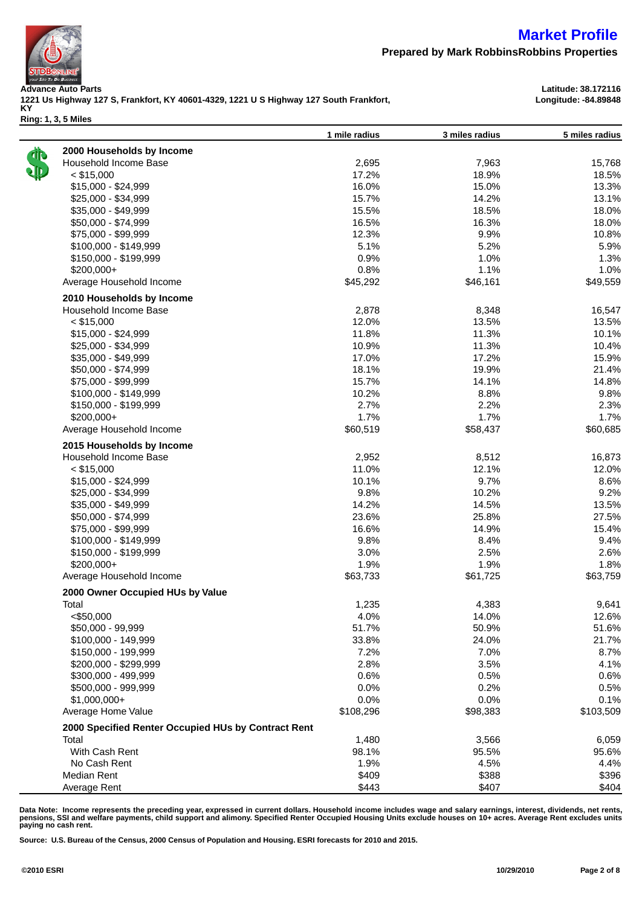

LA

### **Market Profile**

**Prepared by Mark RobbinsRobbins Properties**

**1 mile radius 3 miles radius 5 miles radius**

**Advance Auto Parts Latitude: 38.172116 1221 Us Highway 127 S, Frankfort, KY 40601-4329, 1221 U S Highway 127 South Frankfort, KY Ring: 1, 3, 5 Miles**

**Longitude: -84.89848**

| 2000 Households by Income                           |           |          |           |
|-----------------------------------------------------|-----------|----------|-----------|
| Household Income Base                               | 2,695     | 7,963    | 15,768    |
| $<$ \$15,000                                        | 17.2%     | 18.9%    | 18.5%     |
| \$15,000 - \$24,999                                 | 16.0%     | 15.0%    | 13.3%     |
| \$25,000 - \$34,999                                 | 15.7%     | 14.2%    | 13.1%     |
| \$35,000 - \$49,999                                 | 15.5%     | 18.5%    | 18.0%     |
| \$50,000 - \$74,999                                 | 16.5%     | 16.3%    | 18.0%     |
| \$75,000 - \$99,999                                 | 12.3%     | 9.9%     | 10.8%     |
| \$100,000 - \$149,999                               | 5.1%      | 5.2%     | 5.9%      |
| \$150,000 - \$199,999                               | 0.9%      | 1.0%     | 1.3%      |
| \$200,000+                                          | 0.8%      | 1.1%     | 1.0%      |
| Average Household Income                            | \$45,292  | \$46,161 | \$49,559  |
| 2010 Households by Income                           |           |          |           |
| Household Income Base                               | 2,878     | 8,348    | 16,547    |
| $<$ \$15,000                                        | 12.0%     | 13.5%    | 13.5%     |
| \$15,000 - \$24,999                                 | 11.8%     | 11.3%    | 10.1%     |
| \$25,000 - \$34,999                                 | 10.9%     | 11.3%    | 10.4%     |
| \$35,000 - \$49,999                                 | 17.0%     | 17.2%    | 15.9%     |
| \$50,000 - \$74,999                                 | 18.1%     | 19.9%    | 21.4%     |
| \$75,000 - \$99,999                                 | 15.7%     | 14.1%    | 14.8%     |
| \$100,000 - \$149,999                               | 10.2%     | 8.8%     | 9.8%      |
| \$150,000 - \$199,999                               | 2.7%      | 2.2%     | 2.3%      |
| \$200,000+                                          | 1.7%      | 1.7%     | 1.7%      |
| Average Household Income                            | \$60,519  | \$58,437 | \$60,685  |
| 2015 Households by Income                           |           |          |           |
| Household Income Base                               | 2,952     | 8,512    | 16,873    |
| $<$ \$15,000                                        | 11.0%     | 12.1%    | 12.0%     |
| \$15,000 - \$24,999                                 | 10.1%     | 9.7%     | 8.6%      |
| $$25,000 - $34,999$                                 | 9.8%      | 10.2%    | 9.2%      |
| $$35,000 - $49,999$                                 | 14.2%     | 14.5%    | 13.5%     |
| \$50,000 - \$74,999                                 | 23.6%     | 25.8%    | 27.5%     |
| \$75,000 - \$99,999                                 | 16.6%     | 14.9%    | 15.4%     |
| \$100,000 - \$149,999                               | 9.8%      | 8.4%     | 9.4%      |
| \$150,000 - \$199,999                               | 3.0%      | 2.5%     | 2.6%      |
| \$200,000+                                          | 1.9%      | 1.9%     | 1.8%      |
| Average Household Income                            | \$63,733  | \$61,725 | \$63,759  |
| 2000 Owner Occupied HUs by Value                    |           |          |           |
| Total                                               | 1,235     | 4,383    | 9,641     |
| $<$ \$50,000                                        | 4.0%      | 14.0%    | 12.6%     |
| \$50,000 - 99,999                                   | 51.7%     | 50.9%    | 51.6%     |
| \$100,000 - 149,999                                 | 33.8%     | 24.0%    | 21.7%     |
| \$150,000 - 199,999                                 | 7.2%      | 7.0%     | 8.7%      |
| \$200,000 - \$299,999                               | 2.8%      | 3.5%     | 4.1%      |
| \$300,000 - 499,999                                 | 0.6%      | 0.5%     | 0.6%      |
| \$500,000 - 999,999                                 | 0.0%      | 0.2%     | 0.5%      |
| $$1,000,000+$                                       | 0.0%      | 0.0%     | 0.1%      |
| Average Home Value                                  | \$108,296 | \$98,383 | \$103,509 |
| 2000 Specified Renter Occupied HUs by Contract Rent |           |          |           |
| Total                                               | 1,480     | 3,566    | 6,059     |
| With Cash Rent                                      | 98.1%     | 95.5%    | 95.6%     |
| No Cash Rent                                        | 1.9%      | 4.5%     | 4.4%      |
| Median Rent                                         | \$409     | \$388    | \$396     |
| Average Rent                                        | \$443     | \$407    | \$404     |
|                                                     |           |          |           |

Data Note: Income represents the preceding year, expressed in current dollars. Household income includes wage and salary earnings, interest, dividends, net rents,<br>pensions, SSI and welfare payments, child support and alim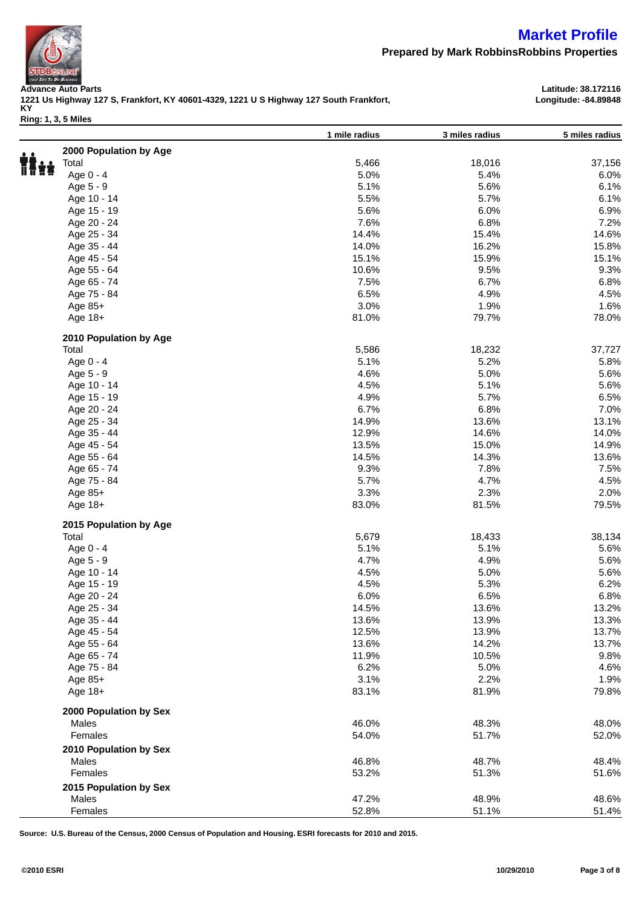

**Prepared by Mark RobbinsRobbins Properties**

**1 mile radius 3 miles radius 5 miles radius**

**Advance Auto Parts Latitude: 38.172116 1221 Us Highway 127 S, Frankfort, KY 40601-4329, 1221 U S Highway 127 South Frankfort, KY Ring: 1, 3, 5 Miles**

**Longitude: -84.89848**

| 2<br>7 |
|--------|

| 2000 Population by Age |       |        |        |
|------------------------|-------|--------|--------|
| Total                  | 5,466 | 18,016 | 37,156 |
| Age 0 - 4              | 5.0%  | 5.4%   | 6.0%   |
| Age 5 - 9              | 5.1%  | 5.6%   | 6.1%   |
| Age 10 - 14            | 5.5%  | 5.7%   | 6.1%   |
| Age 15 - 19            | 5.6%  | 6.0%   | 6.9%   |
| Age 20 - 24            | 7.6%  | 6.8%   | 7.2%   |
| Age 25 - 34            | 14.4% | 15.4%  | 14.6%  |
| Age 35 - 44            | 14.0% | 16.2%  | 15.8%  |
| Age 45 - 54            | 15.1% | 15.9%  | 15.1%  |
| Age 55 - 64            | 10.6% | 9.5%   | 9.3%   |
| Age 65 - 74            | 7.5%  | 6.7%   | 6.8%   |
| Age 75 - 84            | 6.5%  | 4.9%   | 4.5%   |
| Age 85+                | 3.0%  | 1.9%   | 1.6%   |
| Age 18+                | 81.0% | 79.7%  | 78.0%  |
| 2010 Population by Age |       |        |        |
| Total                  | 5,586 | 18,232 | 37,727 |
| Age 0 - 4              | 5.1%  | 5.2%   | 5.8%   |
| Age 5 - 9              | 4.6%  | 5.0%   | 5.6%   |
| Age 10 - 14            | 4.5%  | 5.1%   | 5.6%   |
| Age 15 - 19            | 4.9%  | 5.7%   | 6.5%   |
| Age 20 - 24            | 6.7%  | 6.8%   | 7.0%   |
| Age 25 - 34            | 14.9% | 13.6%  | 13.1%  |
| Age 35 - 44            | 12.9% | 14.6%  | 14.0%  |
|                        | 13.5% |        | 14.9%  |
| Age 45 - 54            |       | 15.0%  |        |
| Age 55 - 64            | 14.5% | 14.3%  | 13.6%  |
| Age 65 - 74            | 9.3%  | 7.8%   | 7.5%   |
| Age 75 - 84            | 5.7%  | 4.7%   | 4.5%   |
| Age 85+                | 3.3%  | 2.3%   | 2.0%   |
| Age 18+                | 83.0% | 81.5%  | 79.5%  |
| 2015 Population by Age |       |        |        |
| Total                  | 5,679 | 18,433 | 38,134 |
| Age 0 - 4              | 5.1%  | 5.1%   | 5.6%   |
| Age 5 - 9              | 4.7%  | 4.9%   | 5.6%   |
| Age 10 - 14            | 4.5%  | 5.0%   | 5.6%   |
| Age 15 - 19            | 4.5%  | 5.3%   | 6.2%   |
| Age 20 - 24            | 6.0%  | 6.5%   | 6.8%   |
| Age 25 - 34            | 14.5% | 13.6%  | 13.2%  |
| Age 35 - 44            | 13.6% | 13.9%  | 13.3%  |
| Age 45 - 54            | 12.5% | 13.9%  | 13.7%  |
| Age 55 - 64            | 13.6% | 14.2%  | 13.7%  |
| Age 65 - 74            | 11.9% | 10.5%  | 9.8%   |
| Age 75 - 84            | 6.2%  | 5.0%   | 4.6%   |
| Age $85+$              | 3.1%  | 2.2%   | 1.9%   |
| Age 18+                | 83.1% | 81.9%  | 79.8%  |
| 2000 Population by Sex |       |        |        |
| Males                  | 46.0% | 48.3%  | 48.0%  |
| Females                | 54.0% | 51.7%  | 52.0%  |
| 2010 Population by Sex |       |        |        |
| Males                  | 46.8% | 48.7%  | 48.4%  |
| Females                | 53.2% | 51.3%  | 51.6%  |
| 2015 Population by Sex |       |        |        |
| Males                  | 47.2% | 48.9%  | 48.6%  |
| Females                | 52.8% | 51.1%  | 51.4%  |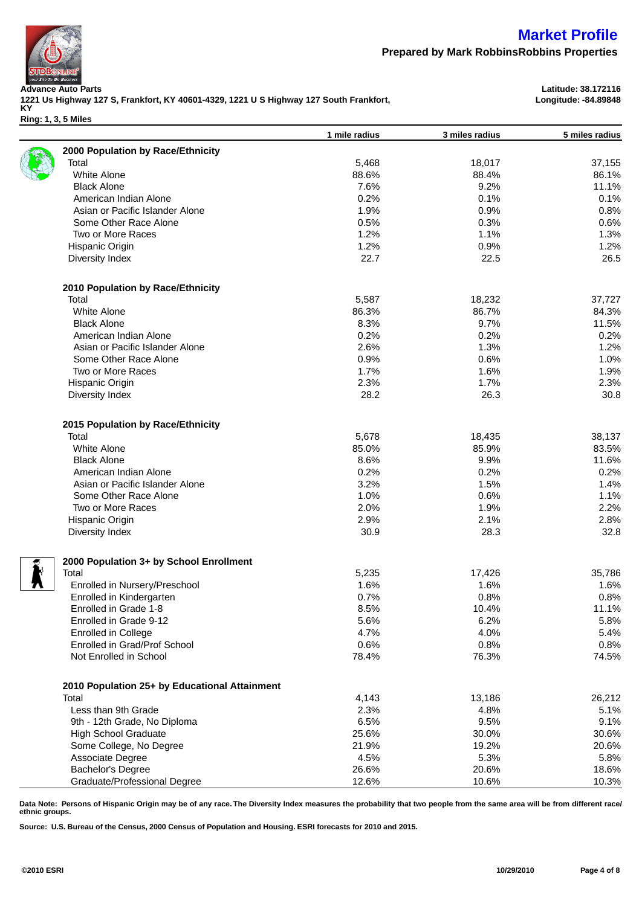

**Prepared by Mark RobbinsRobbins Properties**

**Advance Auto Parts Latitude: 38.172116 1221 Us Highway 127 S, Frankfort, KY 40601-4329, 1221 U S Highway 127 South Frankfort, KY**

**Ring: 1, 3, 5 Miles**

|   |                                               | 1 mile radius | 3 miles radius | 5 miles radius |
|---|-----------------------------------------------|---------------|----------------|----------------|
|   | 2000 Population by Race/Ethnicity             |               |                |                |
|   | Total                                         | 5,468         | 18,017         | 37,155         |
|   | White Alone                                   | 88.6%         | 88.4%          | 86.1%          |
|   | <b>Black Alone</b>                            | 7.6%          | 9.2%           | 11.1%          |
|   | American Indian Alone                         | 0.2%          | 0.1%           | 0.1%           |
|   | Asian or Pacific Islander Alone               | 1.9%          | 0.9%           | 0.8%           |
|   | Some Other Race Alone                         | 0.5%          | 0.3%           | 0.6%           |
|   | Two or More Races                             | 1.2%          | 1.1%           | 1.3%           |
|   | Hispanic Origin                               | 1.2%          | 0.9%           | 1.2%           |
|   | Diversity Index                               | 22.7          | 22.5           | 26.5           |
|   | 2010 Population by Race/Ethnicity             |               |                |                |
|   | Total                                         | 5,587         | 18,232         | 37,727         |
|   | White Alone                                   | 86.3%         | 86.7%          | 84.3%          |
|   | <b>Black Alone</b>                            | 8.3%          | 9.7%           | 11.5%          |
|   | American Indian Alone                         | 0.2%          | 0.2%           | 0.2%           |
|   | Asian or Pacific Islander Alone               | 2.6%          | 1.3%           | 1.2%           |
|   | Some Other Race Alone                         | 0.9%          | 0.6%           | 1.0%           |
|   | Two or More Races                             | 1.7%          | 1.6%           | 1.9%           |
|   | Hispanic Origin                               | 2.3%          | 1.7%           | 2.3%           |
|   | Diversity Index                               | 28.2          | 26.3           | 30.8           |
|   | 2015 Population by Race/Ethnicity             |               |                |                |
|   | Total                                         | 5,678         | 18,435         | 38,137         |
|   | White Alone                                   | 85.0%         | 85.9%          | 83.5%          |
|   | <b>Black Alone</b>                            | 8.6%          | 9.9%           | 11.6%          |
|   | American Indian Alone                         | 0.2%          | 0.2%           | 0.2%           |
|   | Asian or Pacific Islander Alone               | 3.2%          | 1.5%           | 1.4%           |
|   | Some Other Race Alone                         | 1.0%          | 0.6%           | 1.1%           |
|   | Two or More Races                             | 2.0%          | 1.9%           | 2.2%           |
|   | Hispanic Origin                               | 2.9%          | 2.1%           | 2.8%           |
|   | Diversity Index                               | 30.9          | 28.3           | 32.8           |
|   | 2000 Population 3+ by School Enrollment       |               |                |                |
| H | Total                                         | 5,235         | 17,426         | 35,786         |
|   | Enrolled in Nursery/Preschool                 | 1.6%          | 1.6%           | 1.6%           |
|   | Enrolled in Kindergarten                      | 0.7%          | 0.8%           | 0.8%           |
|   | Enrolled in Grade 1-8                         | 8.5%          | 10.4%          | 11.1%          |
|   | Enrolled in Grade 9-12                        | 5.6%          | 6.2%           | 5.8%           |
|   | <b>Enrolled in College</b>                    | 4.7%          | 4.0%           | 5.4%           |
|   | Enrolled in Grad/Prof School                  | 0.6%          | 0.8%           | 0.8%           |
|   | Not Enrolled in School                        | 78.4%         | 76.3%          | 74.5%          |
|   | 2010 Population 25+ by Educational Attainment |               |                |                |
|   | Total                                         | 4,143         | 13,186         | 26,212         |
|   | Less than 9th Grade                           | 2.3%          | 4.8%           | 5.1%           |
|   | 9th - 12th Grade, No Diploma                  | 6.5%          | 9.5%           | 9.1%           |
|   | <b>High School Graduate</b>                   | 25.6%         | 30.0%          | 30.6%          |
|   |                                               |               |                |                |
|   | Some College, No Degree                       | 21.9%         | 19.2%          | 20.6%          |
|   | Associate Degree                              | 4.5%          | 5.3%           | 5.8%           |
|   | Bachelor's Degree                             | 26.6%         | 20.6%          | 18.6%          |
|   | Graduate/Professional Degree                  | 12.6%         | 10.6%          | 10.3%          |
|   |                                               |               |                |                |

**Data Note: Persons of Hispanic Origin may be of any race. The Diversity Index measures the probability that two people from the same area will be from different race/ ethnic groups.**

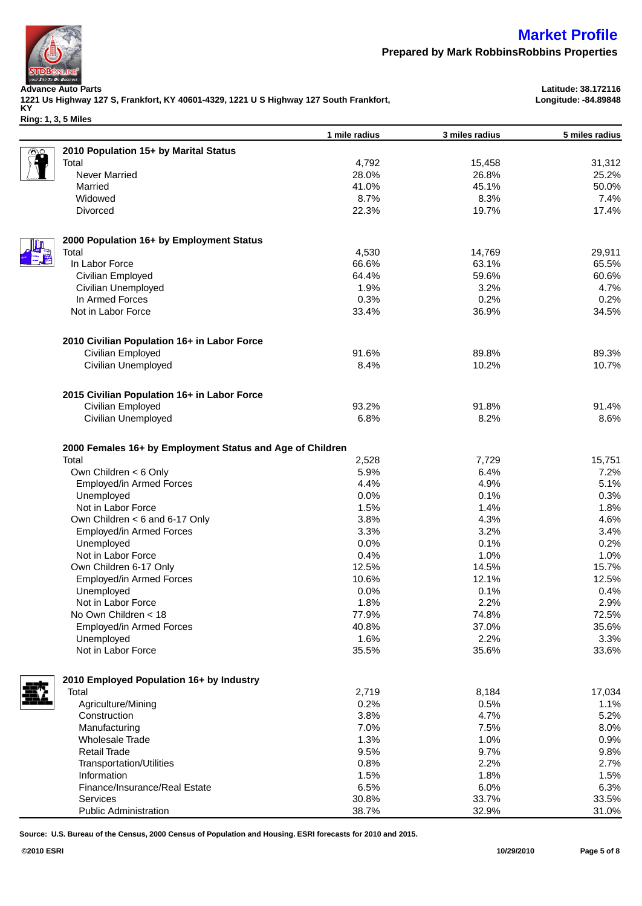

**Longitude: -84.89848**

**Prepared by Mark RobbinsRobbins Properties**

**Advance Auto Parts Latitude: 38.172116 1221 Us Highway 127 S, Frankfort, KY 40601-4329, 1221 U S Highway 127 South Frankfort, KY**

**Ring: 1, 3, 5 Miles**

|     |                                                                    | 1 mile radius | 3 miles radius | 5 miles radius |
|-----|--------------------------------------------------------------------|---------------|----------------|----------------|
|     | 2010 Population 15+ by Marital Status                              |               |                |                |
|     | Total                                                              | 4,792         | 15,458         | 31,312         |
|     | Never Married                                                      | 28.0%         | 26.8%          | 25.2%          |
|     | Married                                                            | 41.0%         | 45.1%          | 50.0%          |
|     | Widowed                                                            | 8.7%          | 8.3%           | 7.4%           |
|     | <b>Divorced</b>                                                    | 22.3%         | 19.7%          | 17.4%          |
|     |                                                                    |               |                |                |
|     | 2000 Population 16+ by Employment Status                           |               |                |                |
| [編] | Total                                                              | 4,530         | 14,769         | 29,911         |
|     | In Labor Force                                                     | 66.6%         | 63.1%          | 65.5%          |
|     | Civilian Employed                                                  | 64.4%         | 59.6%          | 60.6%          |
|     | Civilian Unemployed                                                | 1.9%          | 3.2%           | 4.7%           |
|     | In Armed Forces                                                    | 0.3%          | 0.2%           | 0.2%           |
|     | Not in Labor Force                                                 | 33.4%         | 36.9%          | 34.5%          |
|     |                                                                    |               |                |                |
|     | 2010 Civilian Population 16+ in Labor Force                        |               |                |                |
|     | Civilian Employed                                                  | 91.6%         | 89.8%          | 89.3%          |
|     | Civilian Unemployed                                                | 8.4%          | 10.2%          | 10.7%          |
|     | 2015 Civilian Population 16+ in Labor Force                        |               |                |                |
|     | Civilian Employed                                                  | 93.2%         | 91.8%          | 91.4%          |
|     | Civilian Unemployed                                                | 6.8%          | 8.2%           | 8.6%           |
|     |                                                                    |               |                |                |
|     | 2000 Females 16+ by Employment Status and Age of Children<br>Total | 2,528         | 7,729          | 15,751         |
|     | Own Children < 6 Only                                              | 5.9%          | 6.4%           | 7.2%           |
|     |                                                                    | 4.4%          | 4.9%           | 5.1%           |
|     | Employed/in Armed Forces                                           |               |                |                |
|     | Unemployed                                                         | 0.0%          | 0.1%           | 0.3%           |
|     | Not in Labor Force                                                 | 1.5%          | 1.4%           | 1.8%           |
|     | Own Children < 6 and 6-17 Only                                     | 3.8%          | 4.3%           | 4.6%           |
|     | Employed/in Armed Forces                                           | 3.3%          | 3.2%           | 3.4%           |
|     | Unemployed                                                         | 0.0%          | 0.1%           | 0.2%           |
|     | Not in Labor Force                                                 | 0.4%          | 1.0%           | 1.0%           |
|     | Own Children 6-17 Only                                             | 12.5%         | 14.5%          | 15.7%          |
|     | Employed/in Armed Forces                                           | 10.6%         | 12.1%          | 12.5%          |
|     | Unemployed                                                         | 0.0%          | 0.1%           | 0.4%           |
|     | Not in Labor Force                                                 | 1.8%          | 2.2%           | 2.9%           |
|     | No Own Children < 18                                               | 77.9%         | 74.8%          | 72.5%          |
|     | Employed/in Armed Forces                                           | 40.8%         | 37.0%          | 35.6%          |
|     | Unemployed                                                         | 1.6%          | 2.2%           | 3.3%           |
|     | Not in Labor Force                                                 | 35.5%         | 35.6%          | 33.6%          |
|     | 2010 Employed Population 16+ by Industry                           |               |                |                |
|     | Total                                                              | 2,719         | 8,184          | 17,034         |
|     | Agriculture/Mining                                                 | 0.2%          | 0.5%           | 1.1%           |
|     | Construction                                                       | 3.8%          | 4.7%           | 5.2%           |
|     | Manufacturing                                                      | 7.0%          | 7.5%           | 8.0%           |
|     |                                                                    | 1.3%          |                |                |
|     | <b>Wholesale Trade</b>                                             |               | 1.0%           | 0.9%           |
|     | <b>Retail Trade</b>                                                | 9.5%          | 9.7%           | 9.8%           |
|     | <b>Transportation/Utilities</b>                                    | 0.8%          | 2.2%           | 2.7%           |
|     | Information                                                        | 1.5%          | 1.8%           | 1.5%           |
|     | Finance/Insurance/Real Estate                                      | 6.5%          | 6.0%           | 6.3%           |
|     | Services                                                           | 30.8%         | 33.7%          | 33.5%          |
|     | <b>Public Administration</b>                                       | 38.7%         | 32.9%          | 31.0%          |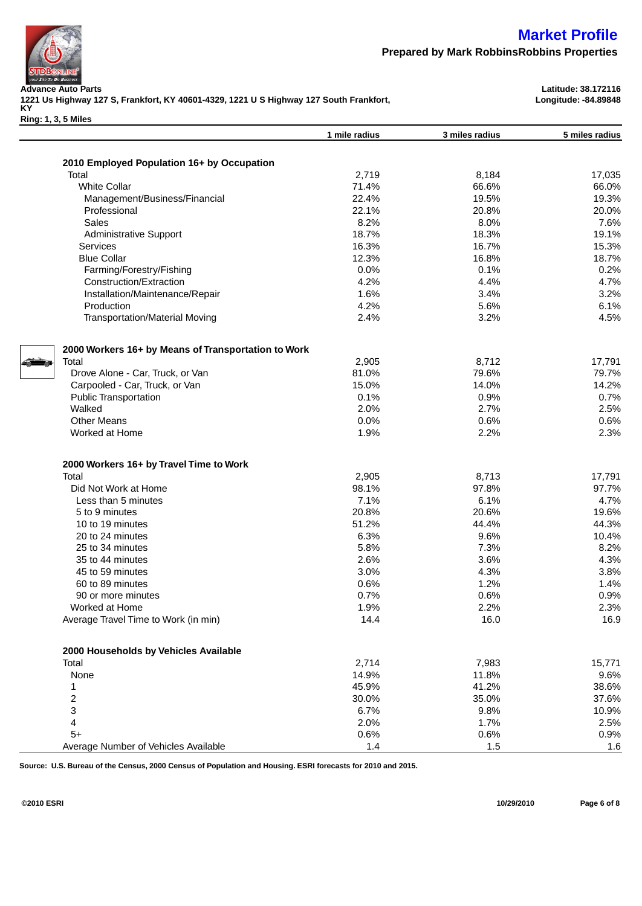

**Advance Auto Parts Latitude: 38.172116 1221 Us Highway 127 S, Frankfort, KY 40601-4329, 1221 U S Highway 127 South Frankfort, KY**

**Ring: 1, 3, 5 Miles**

**Prepared by Mark RobbinsRobbins Properties**

**Longitude: -84.89848**

|                                                     | 1 mile radius | 3 miles radius | 5 miles radius |
|-----------------------------------------------------|---------------|----------------|----------------|
|                                                     |               |                |                |
| 2010 Employed Population 16+ by Occupation          |               |                |                |
| Total                                               | 2,719         | 8,184          | 17,035         |
| <b>White Collar</b>                                 | 71.4%         | 66.6%          | 66.0%          |
| Management/Business/Financial                       | 22.4%         | 19.5%          | 19.3%          |
| Professional                                        | 22.1%         | 20.8%          | 20.0%          |
| Sales                                               | 8.2%          | 8.0%           | 7.6%           |
| <b>Administrative Support</b>                       | 18.7%         | 18.3%          | 19.1%          |
| <b>Services</b>                                     | 16.3%         | 16.7%          | 15.3%          |
| <b>Blue Collar</b>                                  | 12.3%         | 16.8%          | 18.7%          |
| Farming/Forestry/Fishing                            | 0.0%          | 0.1%           | 0.2%           |
| Construction/Extraction                             | 4.2%          | 4.4%           | 4.7%           |
| Installation/Maintenance/Repair                     | 1.6%          | 3.4%           | 3.2%           |
| Production                                          | 4.2%          | 5.6%           | 6.1%           |
| <b>Transportation/Material Moving</b>               | 2.4%          | 3.2%           | 4.5%           |
| 2000 Workers 16+ by Means of Transportation to Work |               |                |                |
| Total                                               | 2,905         | 8,712          | 17,791         |
| Drove Alone - Car, Truck, or Van                    | 81.0%         | 79.6%          | 79.7%          |
| Carpooled - Car, Truck, or Van                      | 15.0%         | 14.0%          | 14.2%          |
| <b>Public Transportation</b>                        | 0.1%          | 0.9%           | 0.7%           |
| Walked                                              | 2.0%          | 2.7%           | 2.5%           |
| <b>Other Means</b>                                  | 0.0%          | 0.6%           | 0.6%           |
| Worked at Home                                      | 1.9%          | 2.2%           | 2.3%           |
|                                                     |               |                |                |
| 2000 Workers 16+ by Travel Time to Work             |               |                |                |
| Total                                               | 2,905         | 8,713          | 17,791         |
| Did Not Work at Home                                | 98.1%         | 97.8%          | 97.7%          |
| Less than 5 minutes                                 | 7.1%          | 6.1%           | 4.7%           |
| 5 to 9 minutes                                      | 20.8%         | 20.6%          | 19.6%          |
| 10 to 19 minutes                                    | 51.2%         | 44.4%          | 44.3%          |
| 20 to 24 minutes                                    | 6.3%          | 9.6%           | 10.4%          |
| 25 to 34 minutes                                    | 5.8%          | 7.3%           | 8.2%           |
| 35 to 44 minutes                                    | 2.6%          | 3.6%           | 4.3%           |
| 45 to 59 minutes                                    | 3.0%          | 4.3%           | 3.8%           |
| 60 to 89 minutes                                    | 0.6%          | 1.2%           | 1.4%           |
| 90 or more minutes                                  | 0.7%          | 0.6%           | 0.9%           |
| Worked at Home                                      | 1.9%          | 2.2%           | 2.3%           |
| Average Travel Time to Work (in min)                | 14.4          | 16.0           | 16.9           |
| 2000 Households by Vehicles Available               |               |                |                |
| Total                                               | 2,714         | 7,983          | 15,771         |
| None                                                | 14.9%         | 11.8%          | 9.6%           |
| 1                                                   | 45.9%         | 41.2%          | 38.6%          |
| 2                                                   | 30.0%         | 35.0%          | 37.6%          |
| 3                                                   | 6.7%          | 9.8%           | 10.9%          |
| 4                                                   | 2.0%          | 1.7%           | 2.5%           |
| $5+$                                                | 0.6%          | 0.6%           | 0.9%           |
| Average Number of Vehicles Available                | $1.4$         | 1.5            | 1.6            |

**Source: U.S. Bureau of the Census, 2000 Census of Population and Housing. ESRI forecasts for 2010 and 2015.**

**©2010 ESRI 10/29/2010 Page 6 of 8**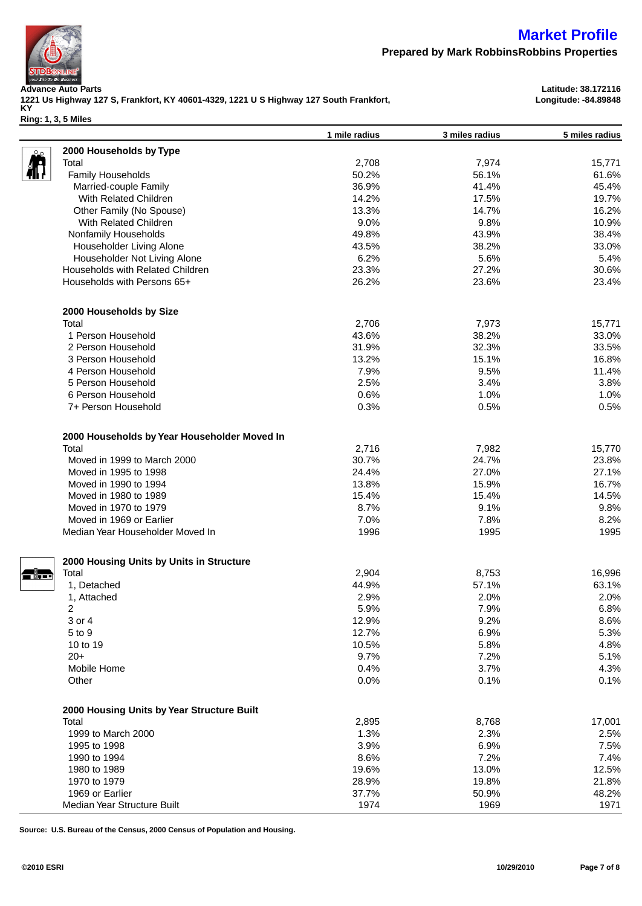

**Prepared by Mark RobbinsRobbins Properties**

**1 mile radius 3 miles radius 5 miles radius**

**Advance Auto Parts Latitude: 38.172116 1221 Us Highway 127 S, Frankfort, KY 40601-4329, 1221 U S Highway 127 South Frankfort, KY Ring: 1, 3, 5 Miles**

**Longitude: -84.89848**

| 2000 Households by Type                             |       |                |        |
|-----------------------------------------------------|-------|----------------|--------|
| Total                                               | 2,708 | 7,974          | 15,771 |
| Family Households                                   | 50.2% | 56.1%          | 61.6%  |
| Married-couple Family                               | 36.9% | 41.4%          | 45.4%  |
| With Related Children                               | 14.2% | 17.5%          | 19.7%  |
| Other Family (No Spouse)                            | 13.3% | 14.7%          | 16.2%  |
| With Related Children                               | 9.0%  | 9.8%           | 10.9%  |
| Nonfamily Households                                | 49.8% | 43.9%          | 38.4%  |
| Householder Living Alone                            | 43.5% | 38.2%          | 33.0%  |
| Householder Not Living Alone                        | 6.2%  | 5.6%           | 5.4%   |
| Households with Related Children                    | 23.3% | 27.2%          | 30.6%  |
| Households with Persons 65+                         | 26.2% | 23.6%          | 23.4%  |
| 2000 Households by Size                             |       |                |        |
| Total                                               | 2,706 | 7,973          | 15,771 |
| 1 Person Household                                  | 43.6% | 38.2%          | 33.0%  |
| 2 Person Household                                  | 31.9% | 32.3%          | 33.5%  |
| 3 Person Household                                  | 13.2% | 15.1%          | 16.8%  |
| 4 Person Household                                  | 7.9%  | 9.5%           | 11.4%  |
| 5 Person Household                                  | 2.5%  | 3.4%           | 3.8%   |
| 6 Person Household                                  | 0.6%  | 1.0%           | 1.0%   |
| 7+ Person Household                                 | 0.3%  | 0.5%           | 0.5%   |
| 2000 Households by Year Householder Moved In        |       |                |        |
| Total                                               | 2,716 | 7,982          | 15,770 |
| Moved in 1999 to March 2000                         | 30.7% | 24.7%          | 23.8%  |
| Moved in 1995 to 1998                               | 24.4% | 27.0%          | 27.1%  |
| Moved in 1990 to 1994                               | 13.8% | 15.9%          | 16.7%  |
| Moved in 1980 to 1989                               | 15.4% | 15.4%          | 14.5%  |
| Moved in 1970 to 1979                               | 8.7%  | 9.1%           | 9.8%   |
| Moved in 1969 or Earlier                            | 7.0%  | 7.8%           | 8.2%   |
| Median Year Householder Moved In                    | 1996  | 1995           | 1995   |
|                                                     |       |                |        |
| 2000 Housing Units by Units in Structure<br>Total   | 2,904 |                | 16,996 |
| 1, Detached                                         | 44.9% | 8,753<br>57.1% | 63.1%  |
| 1, Attached                                         | 2.9%  | 2.0%           | 2.0%   |
| $\overline{2}$                                      | 5.9%  | 7.9%           | 6.8%   |
| 3 or 4                                              | 12.9% | 9.2%           | 8.6%   |
| 5 to 9                                              | 12.7% | 6.9%           | 5.3%   |
| 10 to 19                                            | 10.5% | 5.8%           | 4.8%   |
| $20+$                                               | 9.7%  | 7.2%           | 5.1%   |
| Mobile Home                                         | 0.4%  | 3.7%           | 4.3%   |
| Other                                               | 0.0%  | 0.1%           | 0.1%   |
|                                                     |       |                |        |
| 2000 Housing Units by Year Structure Built<br>Total | 2,895 | 8,768          | 17,001 |
| 1999 to March 2000                                  | 1.3%  | 2.3%           | 2.5%   |
| 1995 to 1998                                        | 3.9%  | 6.9%           | 7.5%   |
| 1990 to 1994                                        | 8.6%  | 7.2%           | 7.4%   |
| 1980 to 1989                                        | 19.6% | 13.0%          | 12.5%  |
| 1970 to 1979                                        | 28.9% | 19.8%          | 21.8%  |
| 1969 or Earlier                                     | 37.7% | 50.9%          | 48.2%  |
| Median Year Structure Built                         | 1974  | 1969           | 1971   |
|                                                     |       |                |        |

**Source: U.S. Bureau of the Census, 2000 Census of Population and Housing.**

- §